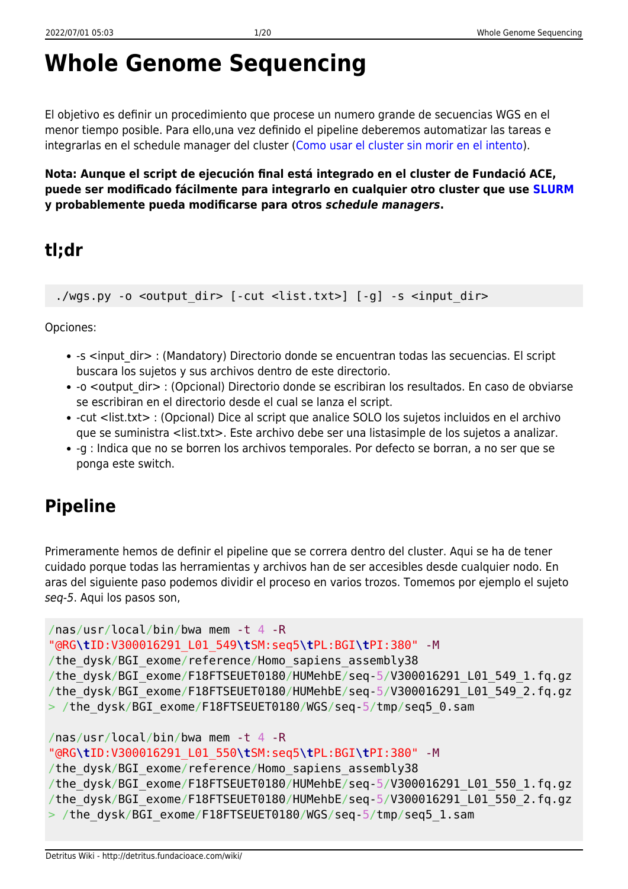# **Whole Genome Sequencing**

El objetivo es definir un procedimiento que procese un numero grande de secuencias WGS en el menor tiempo posible. Para ello,una vez definido el pipeline deberemos automatizar las tareas e integrarlas en el schedule manager del cluster ([Como usar el cluster sin morir en el intento\)](http://detritus.fundacioace.com/wiki/doku.php?id=cluster).

**Nota: Aunque el script de ejecución final está integrado en el cluster de Fundació ACE, puede ser modificado fácilmente para integrarlo en cualquier otro cluster que use [SLURM](https://slurm.schedmd.com/) y probablemente pueda modificarse para otros** *schedule managers***.**

### **tl;dr**

./wgs.py -o <output dir> [-cut <list.txt>] [-g] -s <input dir>

Opciones:

- -s <input dir> : (Mandatory) Directorio donde se encuentran todas las secuencias. El script buscara los sujetos y sus archivos dentro de este directorio.
- -o <output dir> : (Opcional) Directorio donde se escribiran los resultados. En caso de obviarse se escribiran en el directorio desde el cual se lanza el script.
- -cut <list.txt> : (Opcional) Dice al script que analice SOLO los sujetos incluidos en el archivo que se suministra <list.txt>. Este archivo debe ser una listasimple de los sujetos a analizar.
- -g : Indica que no se borren los archivos temporales. Por defecto se borran, a no ser que se ponga este switch.

## **Pipeline**

Primeramente hemos de definir el pipeline que se correra dentro del cluster. Aqui se ha de tener cuidado porque todas las herramientas y archivos han de ser accesibles desde cualquier nodo. En aras del siguiente paso podemos dividir el proceso en varios trozos. Tomemos por ejemplo el sujeto seq-5. Aqui los pasos son,

```
/nas/usr/local/bin/bwa mem -t 4 -R
"@RG\tID:V300016291_L01_549\tSM:seq5\tPL:BGI\tPI:380" -M
/the dysk/BGI exome/reference/Homo sapiens assembly38
/the_dysk/BGI_exome/F18FTSEUET0180/HUMehbE/seq-5/V300016291_L01_549_1.fq.gz
/the_dysk/BGI_exome/F18FTSEUET0180/HUMehbE/seq-5/V300016291_L01_549_2.fq.gz
> /the_dysk/BGI_exome/F18FTSEUET0180/WGS/seq-5/tmp/seq5_0.sam
/nas/usr/local/bin/bwa mem -t 4 -R
```

```
"@RG\tID:V300016291_L01_550\tSM:seq5\tPL:BGI\tPI:380" -M
/the dysk/BGI exome/reference/Homo sapiens assembly38
/the_dysk/BGI_exome/F18FTSEUET0180/HUMehbE/seq-5/V300016291_L01_550_1.fq.gz
/the_dysk/BGI_exome/F18FTSEUET0180/HUMehbE/seq-5/V300016291_L01_550_2.fq.gz
> /the_dysk/BGI_exome/F18FTSEUET0180/WGS/seq-5/tmp/seq5_1.sam
```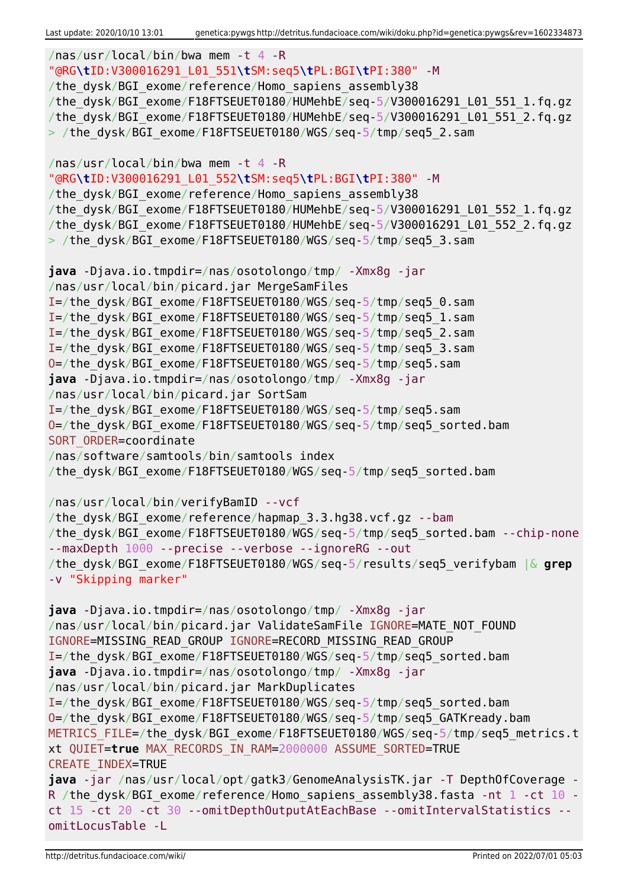```
/nas/usr/local/bin/bwa mem -t 4 -R
"@RG\tID:V300016291_L01_551\tSM:seq5\tPL:BGI\tPI:380" -M
/the dysk/BGI exome/reference/Homo sapiens assembly38
/the_dysk/BGI_exome/F18FTSEUET0180/HUMehbE/seq-5/V300016291_L01_551_1.fq.gz
/the_dysk/BGI_exome/F18FTSEUET0180/HUMehbE/seq-5/V300016291_L01_551_2.fq.gz
> /the dysk/BGI exome/F18FTSEUET0180/WGS/seq-5/tmp/seq5 2.sam
/nas/usr/local/bin/bwa mem -t 4 -R
"@RG\tID:V300016291_L01_552\tSM:seq5\tPL:BGI\tPI:380" -M
/the dysk/BGI exome/reference/Homo sapiens assembly38
/the_dysk/BGI_exome/F18FTSEUET0180/HUMehbE/seq-5/V300016291_L01_552_1.fq.gz
/the_dysk/BGI_exome/F18FTSEUET0180/HUMehbE/seq-5/V300016291_L01_552_2.fq.gz
> /the dysk/BGI exome/F18FTSEUET0180/WGS/seq-5/tmp/seq5 3.sam
java -Djava.io.tmpdir=/nas/osotolongo/tmp/ -Xmx8g -jar
/nas/usr/local/bin/picard.jar MergeSamFiles
I=/the_dysk/BGI_exome/F18FTSEUET0180/WGS/seq-5/tmp/seq5_0.sam
I=/the_dysk/BGI_exome/F18FTSEUET0180/WGS/seq-5/tmp/seq5_1.sam
I=/the_dysk/BGI_exome/F18FTSEUET0180/WGS/seq-5/tmp/seq5_2.sam
I=/the_dysk/BGI_exome/F18FTSEUET0180/WGS/seq-5/tmp/seq5_3.sam
O=/the_dysk/BGI_exome/F18FTSEUET0180/WGS/seq-5/tmp/seq5.sam
java -Djava.io.tmpdir=/nas/osotolongo/tmp/ -Xmx8g -jar
/nas/usr/local/bin/picard.jar SortSam
I=/the_dysk/BGI_exome/F18FTSEUET0180/WGS/seq-5/tmp/seq5.sam
O=/the_dysk/BGI_exome/F18FTSEUET0180/WGS/seq-5/tmp/seq5_sorted.bam
SORT ORDER=coordinate
/nas/software/samtools/bin/samtools index
/the_dysk/BGI_exome/F18FTSEUET0180/WGS/seq-5/tmp/seq5_sorted.bam
/nas/usr/local/bin/verifyBamID --vcf
/the dysk/BGI exome/reference/hapmap 3.3.hg38.vcf.gz --bam
/the_dysk/BGI_exome/F18FTSEUET0180/WGS/seq-5/tmp/seq5_sorted.bam --chip-none
--maxDepth 1000 --precise --verbose --ignoreRG --out
/the_dysk/BGI_exome/F18FTSEUET0180/WGS/seq-5/results/seq5_verifybam |& grep
-v "Skipping marker"
java -Djava.io.tmpdir=/nas/osotolongo/tmp/ -Xmx8g -jar
/nas/usr/local/bin/picard.jar ValidateSamFile IGNORE=MATE NOT FOUND
IGNORE=MISSING_READ_GROUP IGNORE=RECORD_MISSING_READ_GROUP
I=/the_dysk/BGI_exome/F18FTSEUET0180/WGS/seq-5/tmp/seq5_sorted.bam
java -Djava.io.tmpdir=/nas/osotolongo/tmp/ -Xmx8g -jar
/nas/usr/local/bin/picard.jar MarkDuplicates
I=/the_dysk/BGI_exome/F18FTSEUET0180/WGS/seq-5/tmp/seq5_sorted.bam
O=/the_dysk/BGI_exome/F18FTSEUET0180/WGS/seq-5/tmp/seq5_GATKready.bam
METRICS FILE=/the dysk/BGI exome/F18FTSEUET0180/WGS/seq-5/tmp/seq5 metrics.t
xt QUIET=true MAX_RECORDS_IN_RAM=2000000 ASSUME_SORTED=TRUE
CREATE_INDEX=TRUE
java -jar /nas/usr/local/opt/gatk3/GenomeAnalysisTK.jar -T DepthOfCoverage -
R /the dysk/BGI exome/reference/Homo sapiens assembly38.fasta -nt 1 -ct 10 -
ct 15 -ct 20 -ct 30 --omitDepthOutputAtEachBase --omitIntervalStatistics --
omitLocusTable -L
```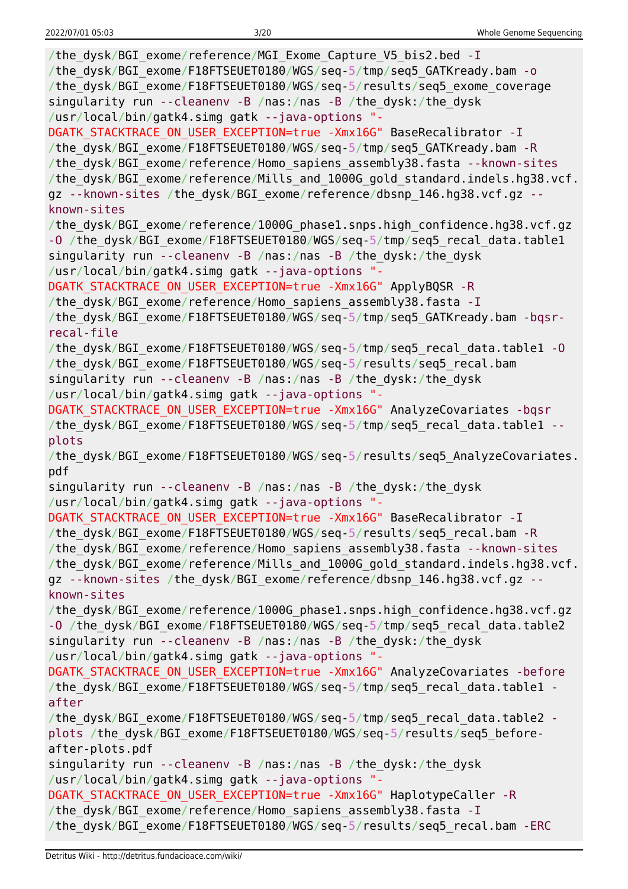| /the_dysk/BGI_exome/reference/MGI_Exome_Capture_V5_bis2.bed -I<br>/the_dysk/BGI_exome/F18FTSEUET0180/WGS/seq-5/tmp/seq5_GATKready.bam - o<br>/the_dysk/BGI_exome/F18FTSEUET0180/WGS/seq-5/results/seq5_exome_coverage<br>singularity run --cleanenv -B /nas:/nas -B /the_dysk:/the_dysk<br>/usr/local/bin/gatk4.simg gatk --java-options "-                                                           |
|-------------------------------------------------------------------------------------------------------------------------------------------------------------------------------------------------------------------------------------------------------------------------------------------------------------------------------------------------------------------------------------------------------|
| DGATK_STACKTRACE_ON_USER_EXCEPTION=true -Xmx16G" BaseRecalibrator -I<br>/the_dysk/BGI_exome/F18FTSEUET0180/WGS/seq-5/tmp/seq5_GATKready.bam -R<br>/the_dysk/BGI_exome/reference/Homo_sapiens_assembly38.fasta --known-sites<br>/the_dysk/BGI_exome/reference/Mills_and_1000G_gold_standard.indels.hg38.vcf.<br>gz --known-sites /the dysk/BGI exome/reference/dbsnp 146.hg38.vcf.gz --<br>known-sites |
| /the_dysk/BGI_exome/reference/1000G_phase1.snps.high_confidence.hg38.vcf.gz<br>-0 /the_dysk/BGI_exome/F18FTSEUET0180/WGS/seq-5/tmp/seq5_recal_data.table1<br>singularity run --cleanenv -B /nas:/nas -B /the_dysk:/the_dysk<br>/usr/local/bin/gatk4.simg gatk --java-options "-                                                                                                                       |
| DGATK_STACKTRACE_ON_USER_EXCEPTION=true -Xmx16G" ApplyBQSR -R<br>/the_dysk/BGI_exome/reference/Homo_sapiens_assembly38.fasta -I<br>/the dysk/BGI exome/F18FTSEUET0180/WGS/seq-5/tmp/seq5 GATKready.bam -bqsr-<br>recal-file                                                                                                                                                                           |
| /the_dysk/BGI_exome/F18FTSEUET0180/WGS/seq-5/tmp/seq5_recal_data.table1 -0<br>/the_dysk/BGI_exome/F18FTSEUET0180/WGS/seq-5/results/seq5_recal.bam<br>singularity run --cleanenv -B /nas:/nas -B /the_dysk:/the_dysk<br>/usr/local/bin/gatk4.simg gatk --java-options "-                                                                                                                               |
| DGATK_STACKTRACE_ON_USER_EXCEPTION=true -Xmx16G" AnalyzeCovariates -bqsr<br>/the_dysk/BGI_exome/F18FTSEUET0180/WGS/seq-5/tmp/seq5_recal_data.table1 --<br>plots                                                                                                                                                                                                                                       |
| /the_dysk/BGI_exome/F18FTSEUET0180/WGS/seq-5/results/seq5_AnalyzeCovariates.                                                                                                                                                                                                                                                                                                                          |
| pdf                                                                                                                                                                                                                                                                                                                                                                                                   |
| singularity run --cleanenv -B /nas:/nas -B /the_dysk:/the_dysk                                                                                                                                                                                                                                                                                                                                        |
| /usr/local/bin/gatk4.simg gatk --java-options "-                                                                                                                                                                                                                                                                                                                                                      |
| DGATK_STACKTRACE_ON_USER_EXCEPTION=true -Xmx16G" BaseRecalibrator -I<br>/the dysk/BGI exome/F18FTSEUET0180/WGS/seq-5/results/seq5 recal.bam -R<br>/the_dysk/BGI_exome/reference/Homo_sapiens_assembly38.fasta --known-sites<br>/the dysk/BGI exome/reference/Mills and 1000G gold standard.indels.hg38.vcf.                                                                                           |
| gz --known-sites /the dysk/BGI exome/reference/dbsnp 146.hg38.vcf.gz --<br>known-sites                                                                                                                                                                                                                                                                                                                |
| /the_dysk/BGI_exome/reference/1000G_phase1.snps.high_confidence.hg38.vcf.gz<br>-0 /the_dysk/BGI_exome/F18FTSEUET0180/WGS/seq-5/tmp/seq5_recal_data.table2                                                                                                                                                                                                                                             |
| singularity run --cleanenv -B /nas:/nas -B /the_dysk:/the_dysk<br>/usr/local/bin/gatk4.simg gatk --java-options "-<br>DGATK STACKTRACE ON USER EXCEPTION=true -Xmx16G" AnalyzeCovariates -before<br>/the_dysk/BGI_exome/F18FTSEUET0180/WGS/seq-5/tmp/seq5_recal_data.table1 -                                                                                                                         |
| after<br>/the_dysk/BGI_exome/F18FTSEUET0180/WGS/seq-5/tmp/seq5_recal_data.table2 -                                                                                                                                                                                                                                                                                                                    |
| plots /the_dysk/BGI_exome/F18FTSEUET0180/WGS/seq-5/results/seq5_before-<br>after-plots.pdf                                                                                                                                                                                                                                                                                                            |
| singularity run --cleanenv -B /nas:/nas -B /the dysk:/the dysk                                                                                                                                                                                                                                                                                                                                        |
| /usr/local/bin/gatk4.simg gatk --java-options "-<br>DGATK STACKTRACE ON USER EXCEPTION=true - Xmx16G" HaplotypeCaller - R                                                                                                                                                                                                                                                                             |
| /the dysk/BGI exome/reference/Homo sapiens assembly38.fasta - I<br>/the_dysk/BGI_exome/F18FTSEUET0180/WGS/seq-5/results/seq5_recal.bam -ERC                                                                                                                                                                                                                                                           |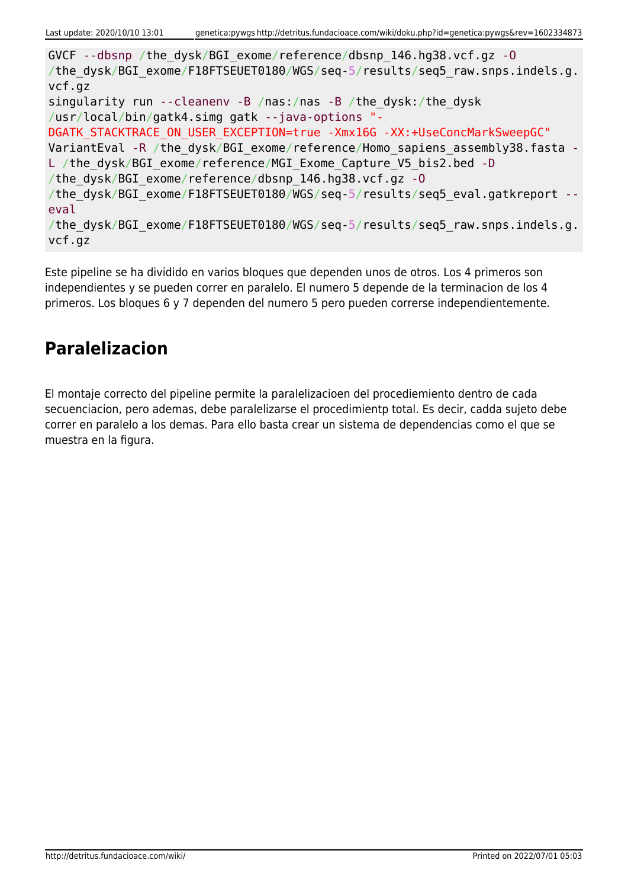GVCF --dbsnp /the\_dysk/BGI\_exome/reference/dbsnp\_146.hg38.vcf.gz -O /the dysk/BGI exome/F18FTSEUET0180/WGS/seq-5/results/seq5 raw.snps.indels.g. vcf.gz singularity run --cleanenv -B /nas:/nas -B /the\_dysk:/the\_dysk /usr/local/bin/gatk4.simg gatk --java-options "- DGATK STACKTRACE ON USER EXCEPTION=true -Xmx16G -XX:+UseConcMarkSweepGC" VariantEval -R /the dysk/BGI\_exome/reference/Homo\_sapiens\_assembly38.fasta -L /the dysk/BGI exome/reference/MGI Exome Capture V5 bis2.bed -D /the\_dysk/BGI\_exome/reference/dbsnp\_146.hg38.vcf.gz -O /the dysk/BGI exome/F18FTSEUET0180/WGS/seq-5/results/seq5 eval.gatkreport -eval /the dysk/BGI exome/F18FTSEUET0180/WGS/seq-5/results/seq5 raw.snps.indels.g. vcf.gz

Este pipeline se ha dividido en varios bloques que dependen unos de otros. Los 4 primeros son independientes y se pueden correr en paralelo. El numero 5 depende de la terminacion de los 4 primeros. Los bloques 6 y 7 dependen del numero 5 pero pueden correrse independientemente.

### **Paralelizacion**

El montaje correcto del pipeline permite la paralelizacioen del procediemiento dentro de cada secuenciacion, pero ademas, debe paralelizarse el procedimientp total. Es decir, cadda sujeto debe correr en paralelo a los demas. Para ello basta crear un sistema de dependencias como el que se muestra en la figura.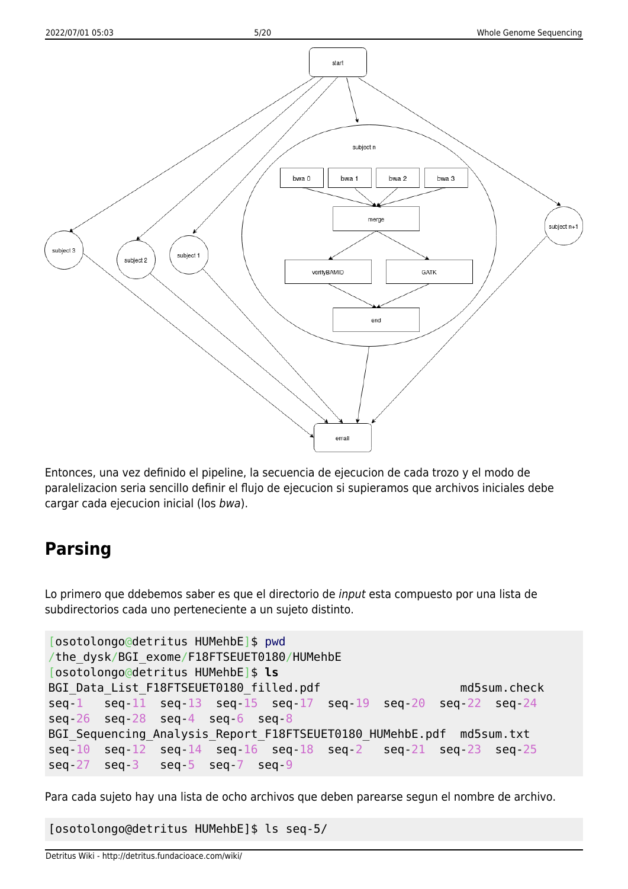

Entonces, una vez definido el pipeline, la secuencia de ejecucion de cada trozo y el modo de paralelizacion seria sencillo definir el flujo de ejecucion si supieramos que archivos iniciales debe cargar cada ejecucion inicial (los bwa).

### **Parsing**

Lo primero que ddebemos saber es que el directorio de input esta compuesto por una lista de subdirectorios cada uno perteneciente a un sujeto distinto.

```
[osotolongo@detritus HUMehbE]$ pwd
/the_dysk/BGI_exome/F18FTSEUET0180/HUMehbE
[osotolongo@detritus HUMehbE]$ ls
BGI Data List F18FTSEUET0180 filled.pdf md5sum.check
seq-1 seq-11 seq-13 seq-15 seq-17 seq-19 seq-20 seq-22 seq-24
seq-26 seq-28 seq-4 seq-6 seq-8
BGI Sequencing Analysis Report F18FTSEUET0180 HUMehbE.pdf md5sum.txt
seq-10 seq-12 seq-14 seq-16 seq-18 seq-2 seq-21 seq-23 seq-25
seq-27 seq-3 seq-5 seq-7 seq-9
```
Para cada sujeto hay una lista de ocho archivos que deben parearse segun el nombre de archivo.

[osotolongo@detritus HUMehbE]\$ ls seq-5/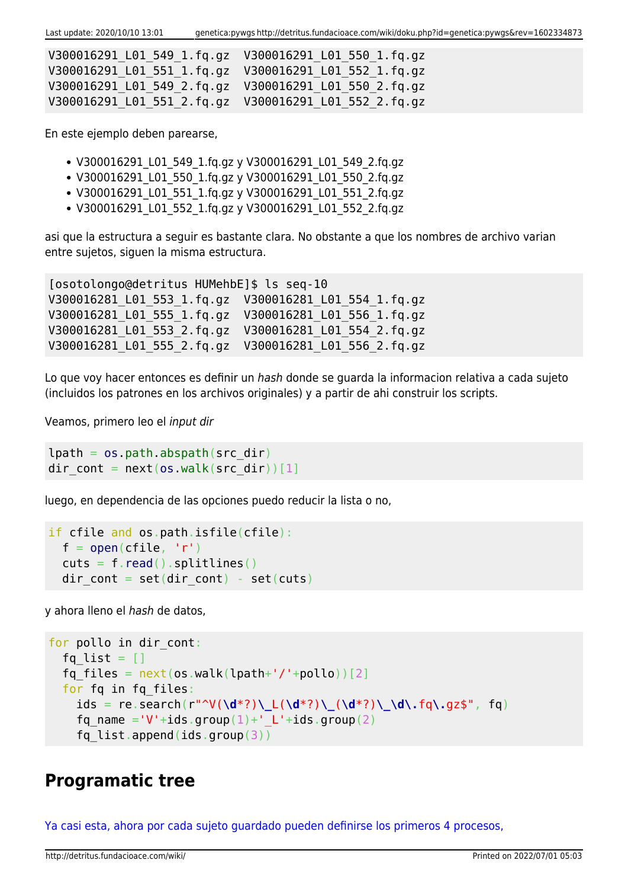| V300016291 L01 549 1.fg.gz  V300016291 L01 550 1.fg.gz |  |
|--------------------------------------------------------|--|
| V300016291 L01 551 1.fg.gz  V300016291 L01 552 1.fg.gz |  |
| V300016291 L01 549 2.fg.gz  V300016291 L01 550 2.fg.gz |  |
|                                                        |  |

En este ejemplo deben parearse,

- V300016291 L01 549 1.fq.gz y V300016291 L01 549 2.fq.gz
- V300016291\_L01\_550\_1.fq.gz y V300016291\_L01\_550\_2.fq.gz
- V300016291 L01 551 1.fq.gz y V300016291 L01 551 2.fq.gz
- V300016291 L01 552 1.fg.gz y V300016291 L01 552 2.fg.gz

asi que la estructura a seguir es bastante clara. No obstante a que los nombres de archivo varian entre sujetos, siguen la misma estructura.

[osotolongo@detritus HUMehbE]\$ ls seq-10 V300016281\_L01\_553\_1.fq.gz V300016281\_L01\_554\_1.fq.gz V300016281\_L01\_555\_1.fq.gz V300016281\_L01\_556\_1.fq.gz V300016281\_L01\_553\_2.fq.gz V300016281\_L01\_554\_2.fq.gz V300016281\_L01\_555\_2.fq.gz V300016281\_L01\_556\_2.fq.gz

Lo que voy hacer entonces es definir un hash donde se guarda la informacion relativa a cada sujeto (incluidos los patrones en los archivos originales) y a partir de ahi construir los scripts.

Veamos, primero leo el input dir

```
lpath = os.pathr<sub>obs</sub>, abspath(src dir)</sub>
dir cont = next(os.walk(src dir))[1]
```
luego, en dependencia de las opciones puedo reducir la lista o no,

```
if cfile and os.path.isfile(cfile):
 open(cfile, 'r')read().splitlines()dir cont = set(dir cont) - set(cuts)
```
y ahora lleno el hash de datos,

```
for pollo in dir cont:
  fq list = []fq files = next(os.walk(lpath+'/'+pollo))[2] for fq in fq_files:
     ids = re.search(r"^V(\d*?)\_L(\d*?)\_(\d*?)\_\d\.fq\.gz$", fq)
    fq name ='V'+ids.group(1)+' L'+ids.group(2)
    fq list.append(ids.group(3))
```
### **Programatic tree**

[Ya casi esta, ahora por cada sujeto guardado pueden definirse los primeros 4 procesos,](#page--1-0)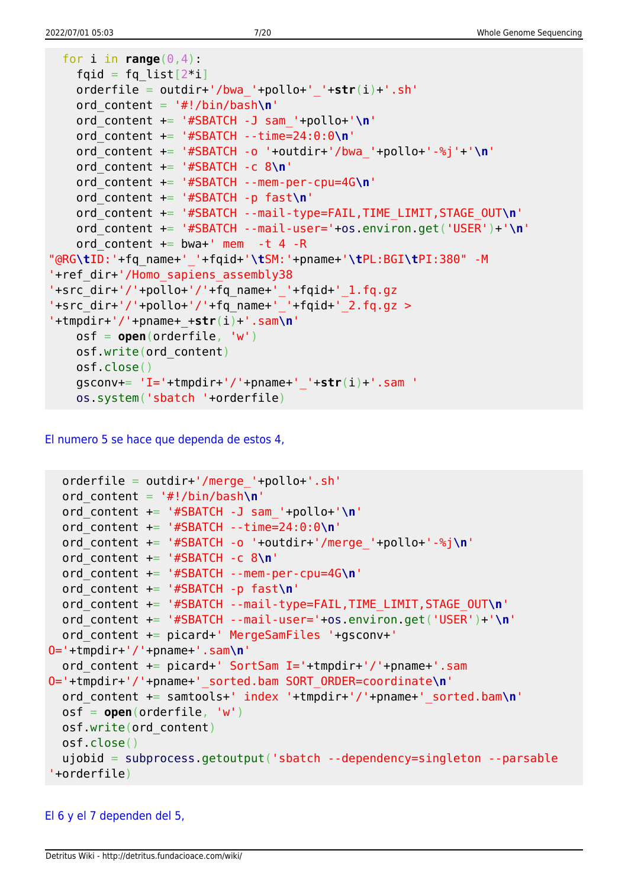```
for i in range(0, 4):
   fqid = fq\_list[2 * i] orderfile = outdir+'/bwa_'+pollo+'_'+str(i)+'.sh'
    ord_content = '#!/bin/bash\n'
    ord_content += '#SBATCH -J sam_'+pollo+'\n'
    ord_content += '#SBATCH --time=24:0:0\n'
    ord_content += '#SBATCH -o '+outdir+'/bwa_'+pollo+'-%j'+'\n'
    ord_content += '#SBATCH -c 8\n'
    ord_content += '#SBATCH --mem-per-cpu=4G\n'
    ord_content += '#SBATCH -p fast\n'
    ord_content += '#SBATCH --mail-type=FAIL,TIME_LIMIT,STAGE_OUT\n'
    ord_content += '#SBATCH --mail-user='+os.environ.get('USER')+'\n'
   ord content += bwa+' mem -t 4 -R
"@RG\tID:'+fq_name+'_'+fqid+'\tSM:'+pname+'\tPL:BGI\tPI:380" -M
'+ref_dir+'/Homo_sapiens_assembly38
'+src_dir+'/'+pollo+'/'+fq_name+'_'+fqid+'_1.fq.gz
'+src dir+'/'+pollo+'/'+fq name+' '+fqid+' 2.fq.gz >
'+tmpdir+'/'+pname+_+str(i)+'.sam\n'
    osf = open(orderfile, 'w')
    osf.write(ord_content)
    osf.close()
    gsconv+= 'I='+tmpdir+'/'+pname+'_'+str(i)+'.sam '
    os.system('sbatch '+orderfile)
```
[El numero 5 se hace que dependa de estos 4,](#page--1-0)

```
 orderfile = outdir+'/merge_'+pollo+'.sh'
   ord_content = '#!/bin/bash\n'
   ord_content += '#SBATCH -J sam_'+pollo+'\n'
   ord_content += '#SBATCH --time=24:0:0\n'
   ord_content += '#SBATCH -o '+outdir+'/merge_'+pollo+'-%j\n'
   ord_content += '#SBATCH -c 8\n'
   ord_content += '#SBATCH --mem-per-cpu=4G\n'
   ord_content += '#SBATCH -p fast\n'
   ord_content += '#SBATCH --mail-type=FAIL,TIME_LIMIT,STAGE_OUT\n'
   ord_content += '#SBATCH --mail-user='+os.environ.get('USER')+'\n'
   ord_content += picard+' MergeSamFiles '+gsconv+'
O='+tmpdir+'/'+pname+'.sam\n'
   ord_content += picard+' SortSam I='+tmpdir+'/'+pname+'.sam
O='+tmpdir+'/'+pname+'_sorted.bam SORT_ORDER=coordinate\n'
   ord_content += samtools+' index '+tmpdir+'/'+pname+'_sorted.bam\n'
   osf = open(orderfile, 'w')
   osf.write(ord_content)
  osf.close()
   ujobid = subprocess.getoutput('sbatch --dependency=singleton --parsable
'+orderfile)
```
### [El 6 y el 7 dependen del 5,](#page--1-0)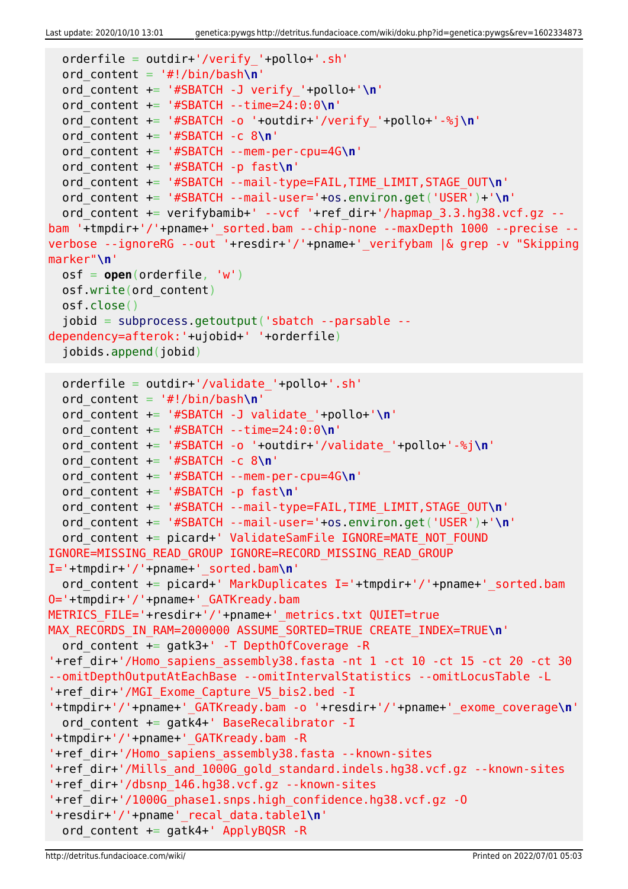```
 orderfile = outdir+'/verify_'+pollo+'.sh'
  ord_content = '#!/bin/bash\n'
   ord_content += '#SBATCH -J verify_'+pollo+'\n'
  ord_content += '#SBATCH --time=24:0:0\n'
  ord_content += '#SBATCH -o '+outdir+'/verify_'+pollo+'-%j\n'
   ord_content += '#SBATCH -c 8\n'
  ord_content += '#SBATCH --mem-per-cpu=4G\n'
  ord_content += '#SBATCH -p fast\n'
  ord_content += '#SBATCH --mail-type=FAIL,TIME_LIMIT,STAGE_OUT\n'
  ord_content += '#SBATCH --mail-user='+os.environ.get('USER')+'\n'
  ord content += verifybamib+' --vcf '+ref dir+'/hapmap 3.3.hg38.vcf.gz --
bam '+tmpdir+'/'+pname+'_sorted.bam --chip-none --maxDepth 1000 --precise --
verbose --ignoreRG --out '+resdir+'/'+pname+'_verifybam |& grep -v "Skipping
marker"\n'
  osf = open(orderfile, 'w')
  osf.write(ord_content)
  osf.close()
   jobid = subprocess.getoutput('sbatch --parsable --
dependency=afterok:'+ujobid+' '+orderfile)
   jobids.append(jobid)
  orderfile = outdir+'/validate_'+pollo+'.sh'
  ord_content = '#!/bin/bash\n'
  ord_content += '#SBATCH -J validate_'+pollo+'\n'
  ord_content += '#SBATCH --time=24:0:0\n'
  ord_content += '#SBATCH -o '+outdir+'/validate_'+pollo+'-%j\n'
  ord_content += '#SBATCH -c 8\n'
  ord_content += '#SBATCH --mem-per-cpu=4G\n'
   ord_content += '#SBATCH -p fast\n'
  ord_content += '#SBATCH --mail-type=FAIL,TIME_LIMIT,STAGE_OUT\n'
  ord_content += '#SBATCH --mail-user='+os.environ.get('USER')+'\n'
  ord content += picard+' ValidateSamFile IGNORE=MATE NOT FOUND
IGNORE=MISSING_READ_GROUP IGNORE=RECORD_MISSING_READ_GROUP
I='+tmpdir+'/'+pname+'_sorted.bam\n'
  ord content += picard+' MarkDuplicates I='+tmpdir+'/'+pname+' sorted.bam
O='+tmpdir+'/'+pname+'_GATKready.bam
METRICS_FILE='+resdir+'/'+pname+'_metrics.txt QUIET=true
MAX_RECORDS_IN_RAM=2000000 ASSUME_SORTED=TRUE CREATE_INDEX=TRUE\n'
  ord content += gatk3+' -T DepthOfCoverage -R
'+ref_dir+'/Homo_sapiens_assembly38.fasta -nt 1 -ct 10 -ct 15 -ct 20 -ct 30
--omitDepthOutputAtEachBase --omitIntervalStatistics --omitLocusTable -L
'+ref_dir+'/MGI_Exome_Capture_V5_bis2.bed -I
'+tmpdir+'/'+pname+'_GATKready.bam -o '+resdir+'/'+pname+'_exome_coverage\n'
  ord content += gatk4+' BaseRecalibrator -I
'+tmpdir+'/'+pname+'_GATKready.bam -R
'+ref_dir+'/Homo_sapiens_assembly38.fasta --known-sites
'+ref_dir+'/Mills_and_1000G_gold_standard.indels.hg38.vcf.gz --known-sites
'+ref_dir+'/dbsnp_146.hg38.vcf.gz --known-sites
'+ref_dir+'/1000G_phase1.snps.high_confidence.hg38.vcf.gz -O
'+resdir+'/'+pname'_recal_data.table1\n'
  ord content += gatk4+' ApplyBQSR -R
```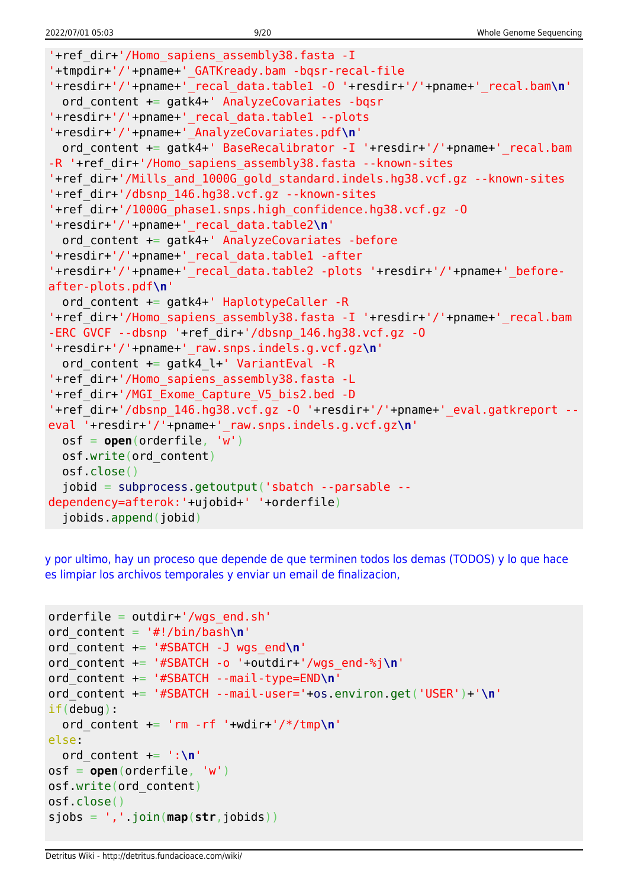```
'+ref_dir+'/Homo_sapiens_assembly38.fasta -I
'+tmpdir+'/'+pname+'_GATKready.bam -bqsr-recal-file
'+resdir+'/'+pname+'_recal_data.table1 -O '+resdir+'/'+pname+'_recal.bam\n'
   ord_content += gatk4+' AnalyzeCovariates -bqsr
'+resdir+'/'+pname+'_recal_data.table1 --plots
'+resdir+'/'+pname+'_AnalyzeCovariates.pdf\n'
  ord content += gatk4+' BaseRecalibrator -I '+resdir+'/'+pname+'_recal.bam
-R '+ref dir+'/Homo sapiens assembly38.fasta --known-sites
'+ref_dir+'/Mills_and_1000G_gold_standard.indels.hg38.vcf.gz --known-sites
'+ref_dir+'/dbsnp_146.hg38.vcf.gz --known-sites
'+ref_dir+'/1000G_phase1.snps.high_confidence.hg38.vcf.gz -O
'+resdir+'/'+pname+'_recal_data.table2\n'
  ord content += gatk4+' AnalyzeCovariates -before
'+resdir+'/'+pname+'_recal_data.table1 -after
'+resdir+'/'+pname+'_recal_data.table2 -plots '+resdir+'/'+pname+'_before-
after-plots.pdf\n'
   ord_content += gatk4+' HaplotypeCaller -R
'+ref_dir+'/Homo_sapiens_assembly38.fasta -I '+resdir+'/'+pname+' recal.bam
-ERC GVCF --dbsnp '+ref_dir+'/dbsnp_146.hg38.vcf.gz -O
'+resdir+'/'+pname+'_raw.snps.indels.g.vcf.gz\n'
  ord content += gatk4 l+' VariantEval -R
'+ref_dir+'/Homo_sapiens_assembly38.fasta -L
'+ref_dir+'/MGI_Exome_Capture_V5_bis2.bed -D
'+ref_dir+'/dbsnp_146.hg38.vcf.gz -O '+resdir+'/'+pname+'_eval.gatkreport --
eval '+resdir+'/'+pname+'_raw.snps.indels.g.vcf.gz\n'
  osf = open(orderfile, 'w')
  osf.write(ord_content)
  osf.close()
   jobid = subprocess.getoutput('sbatch --parsable --
dependency=afterok:'+ujobid+' '+orderfile)
   jobids.append(jobid)
```
[y por ultimo, hay un proceso que depende de que terminen todos los demas \(TODOS\) y lo que hace](#page--1-0) [es limpiar los archivos temporales y enviar un email de finalizacion,](#page--1-0)

```
orderfile = outdir+'/wgs end.sh'
ord_content = '#!/bin/bash\n'
ord_content += '#SBATCH -J wgs_end\n'
ord_content += '#SBATCH -o '+outdir+'/wgs_end-%j\n'
ord_content += '#SBATCH --mail-type=END\n'
ord_content += '#SBATCH --mail-user='+os.environ.get('USER')+'\n'
if(debug):
   ord_content += 'rm -rf '+wdir+'/*/tmp\n'
else:
  ord content += ':\n\cdot\)osf = open(orderfile, 'w')
osf.write(ord_content)
osf.close()
sjobs = ','.join(map(str,jobids))
```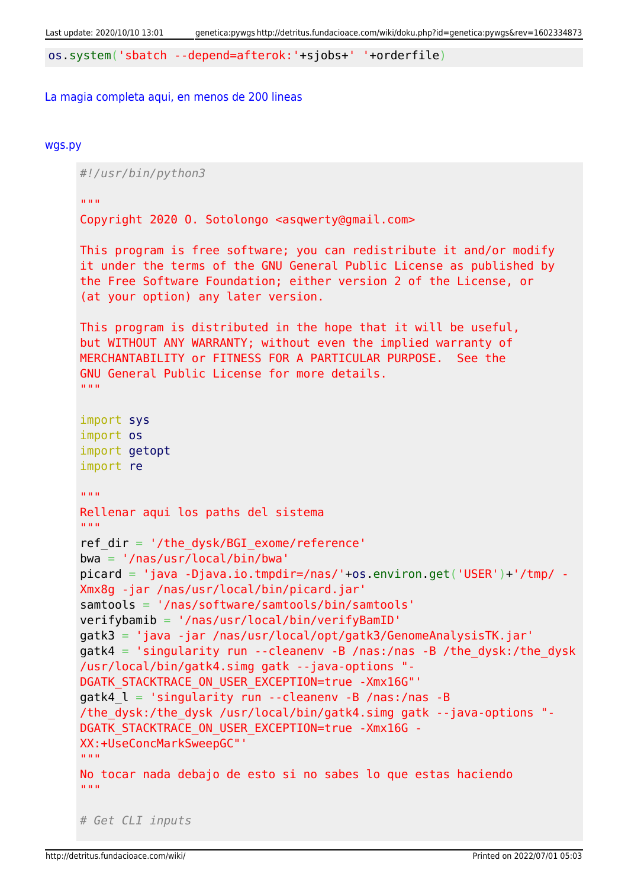os.system('sbatch --depend=afterok:'+sjobs+' '+orderfile)

#### [La magia completa aqui, en menos de 200 lineas](#page--1-0)

#### [wgs.py](http://detritus.fundacioace.com/wiki/doku.php?do=export_code&id=genetica:pywgs&codeblock=13)

*#!/usr/bin/python3* "" "" "" Copyright 2020 O. Sotolongo <asqwerty@gmail.com> This program is free software; you can redistribute it and/or modify it under the terms of the GNU General Public License as published by the Free Software Foundation; either version 2 of the License, or (at your option) any later version. This program is distributed in the hope that it will be useful, but WITHOUT ANY WARRANTY; without even the implied warranty of MERCHANTABILITY or FITNESS FOR A PARTICULAR PURPOSE. See the GNU General Public License for more details. "" "" "" import sys import os import getopt import re  $\overline{m}$ "" Rellenar aqui los paths del sistema  $"$ ""  $"$ ref  $dir = '/the dysk/BGI$  exome/reference' bwa = '/nas/usr/local/bin/bwa' picard = 'java -Djava.io.tmpdir=/nas/'+os.environ.get('USER')+'/tmp/ - Xmx8g -jar /nas/usr/local/bin/picard.jar' samtools = '/nas/software/samtools/bin/samtools' verifybamib = '/nas/usr/local/bin/verifyBamID' gatk3 = 'java -jar /nas/usr/local/opt/gatk3/GenomeAnalysisTK.jar'  $g$ atk4 = 'singularity run --cleanenv -B /nas:/nas -B /the dysk:/the dysk /usr/local/bin/gatk4.simg gatk --java-options "- DGATK STACKTRACE ON USER EXCEPTION=true -Xmx16G"' gatk4  $l = 'singularity run --cleanenv -B /nas://nas -B$ /the\_dysk:/the\_dysk /usr/local/bin/gatk4.simg gatk --java-options "- DGATK\_STACKTRACE\_ON\_USER\_EXCEPTION=true -Xmx16G - XX:+UseConcMarkSweepGC"' "" "" "" No tocar nada debajo de esto si no sabes lo que estas haciendo "" "" "" *# Get CLI inputs*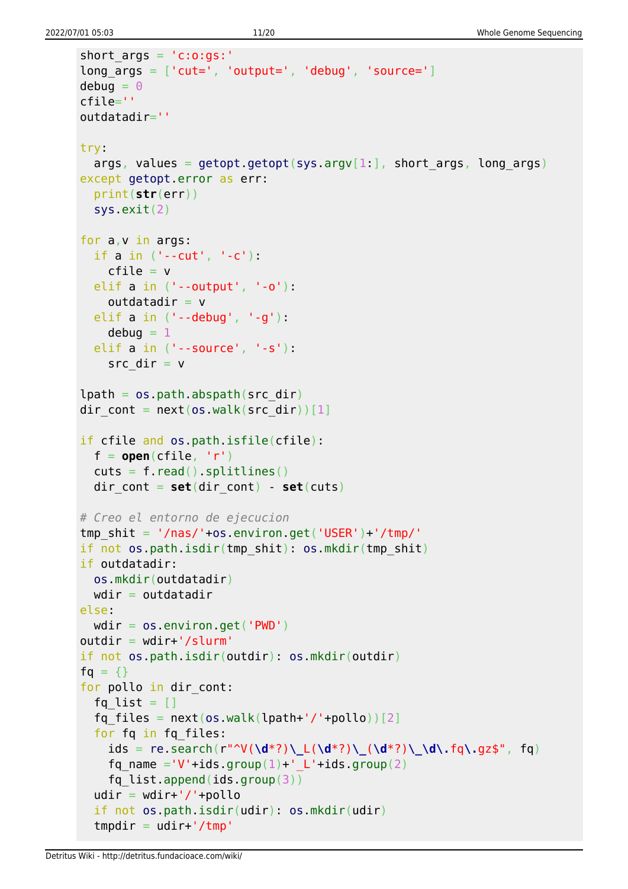```
short args = 'c:o:gs:'long_{\text{args}} = [\text{'cut='}, 'output='', 'debug', 'source='}]debuq = 0cfile=''
outdatadir=''
try:
  args, values = getopt.getopt(sys.argv[1:], short args, long args)
except getopt.error as err:
   print(str(err))
   sys.exit(2)
for a,v in args:
   if a in ('--cut', '-c'):
    cfile = v elif a in ('--output', '-o'):
    outdatadir = v elif a in ('--debug', '-g'):
    debuq = 1 elif a in ('--source', '-s'):
    src dir = vlpath = os.pathr<sub>obs</sub> path. (src dir)</sub>
dir cont = next(os.walk(src dir))[1]
if cfile and os.path.isfile(cfile):
  f = open(cfile, 'r')cuts = f.read().splitlines()dir cont = set(dir \text{ cont}) - set(cuts)# Creo el entorno de ejecucion
tmp shit = '/nas/'+os.environ.get('USER')+'/tmp/'if not os.path.isdir(tmp_shit): os.mkdir(tmp_shit)
if outdatadir:
  os.mkdir(outdatadir)
 wdir = outdatadirelse:
 wdir = os.environ.get('PWD')outdir = wdir+'/slurm'if not os.path.isdir(outdir): os.mkdir(outdir)
fg = \{\}for pollo in dir cont:
  fq list = []fq files = next(os.walk(lpath+'/'+pollo))[2] for fq in fq_files:
     ids = re.search(r"^V(\d*?)\_L(\d*?)\_(\d*?)\_\d\.fq\.gz$", fq)
    fq name ='V'+ids.group(1)+' L'+ids.group(2)
    fq list.append(ids.group(3))
  udir = wdir+'/'+pollo if not os.path.isdir(udir): os.mkdir(udir)
  tmpdir = udir+'/tmp'
```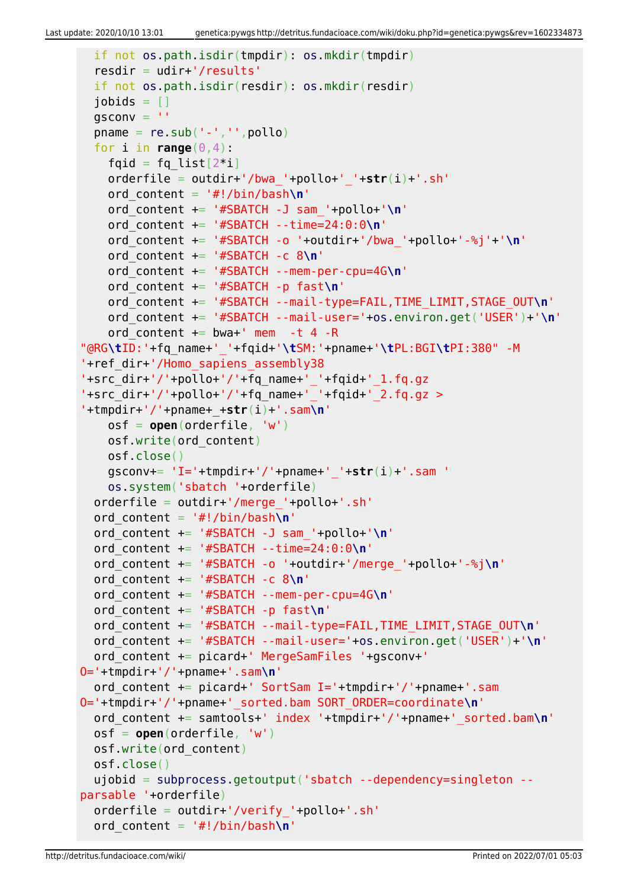```
 if not os.path.isdir(tmpdir): os.mkdir(tmpdir)
   resdir = udir+'/results'
   if not os.path.isdir(resdir): os.mkdir(resdir)
  jobids = []qsconv =<sup>''</sup>
  pname = re.sub('--', ''', poollo)for i in range(0, 4):
    fqid = fq list[2^*i] orderfile = outdir+'/bwa_'+pollo+'_'+str(i)+'.sh'
     ord_content = '#!/bin/bash\n'
     ord_content += '#SBATCH -J sam_'+pollo+'\n'
     ord_content += '#SBATCH --time=24:0:0\n'
     ord_content += '#SBATCH -o '+outdir+'/bwa_'+pollo+'-%j'+'\n'
     ord_content += '#SBATCH -c 8\n'
     ord_content += '#SBATCH --mem-per-cpu=4G\n'
     ord_content += '#SBATCH -p fast\n'
     ord_content += '#SBATCH --mail-type=FAIL,TIME_LIMIT,STAGE_OUT\n'
     ord_content += '#SBATCH --mail-user='+os.environ.get('USER')+'\n'
    ord content += bwa+' mem -t 4 -R
"@RG\tID:'+fq_name+'_'+fqid+'\tSM:'+pname+'\tPL:BGI\tPI:380" -M
'+ref_dir+'/Homo_sapiens_assembly38
'+src_dir+'/'+pollo+'/'+fq_name+'_'+fqid+'_1.fq.gz
'+src_dir+'/'+pollo+'/'+fq_name+'_'+fqid+'_2.fq.gz >
'+tmpdir+'/'+pname+_+str(i)+'.sam\n'
     osf = open(orderfile, 'w')
     osf.write(ord_content)
     osf.close()
     gsconv+= 'I='+tmpdir+'/'+pname+'_'+str(i)+'.sam '
     os.system('sbatch '+orderfile)
   orderfile = outdir+'/merge_'+pollo+'.sh'
   ord_content = '#!/bin/bash\n'
   ord_content += '#SBATCH -J sam_'+pollo+'\n'
   ord_content += '#SBATCH --time=24:0:0\n'
   ord_content += '#SBATCH -o '+outdir+'/merge_'+pollo+'-%j\n'
   ord_content += '#SBATCH -c 8\n'
   ord_content += '#SBATCH --mem-per-cpu=4G\n'
   ord_content += '#SBATCH -p fast\n'
   ord_content += '#SBATCH --mail-type=FAIL,TIME_LIMIT,STAGE_OUT\n'
   ord_content += '#SBATCH --mail-user='+os.environ.get('USER')+'\n'
   ord_content += picard+' MergeSamFiles '+gsconv+'
O='+tmpdir+'/'+pname+'.sam\n'
   ord_content += picard+' SortSam I='+tmpdir+'/'+pname+'.sam
O='+tmpdir+'/'+pname+'_sorted.bam SORT_ORDER=coordinate\n'
   ord_content += samtools+' index '+tmpdir+'/'+pname+'_sorted.bam\n'
   osf = open(orderfile, 'w')
   osf.write(ord_content)
   osf.close()
   ujobid = subprocess.getoutput('sbatch --dependency=singleton --
parsable '+orderfile)
   orderfile = outdir+'/verify_'+pollo+'.sh'
   ord_content = '#!/bin/bash\n'
```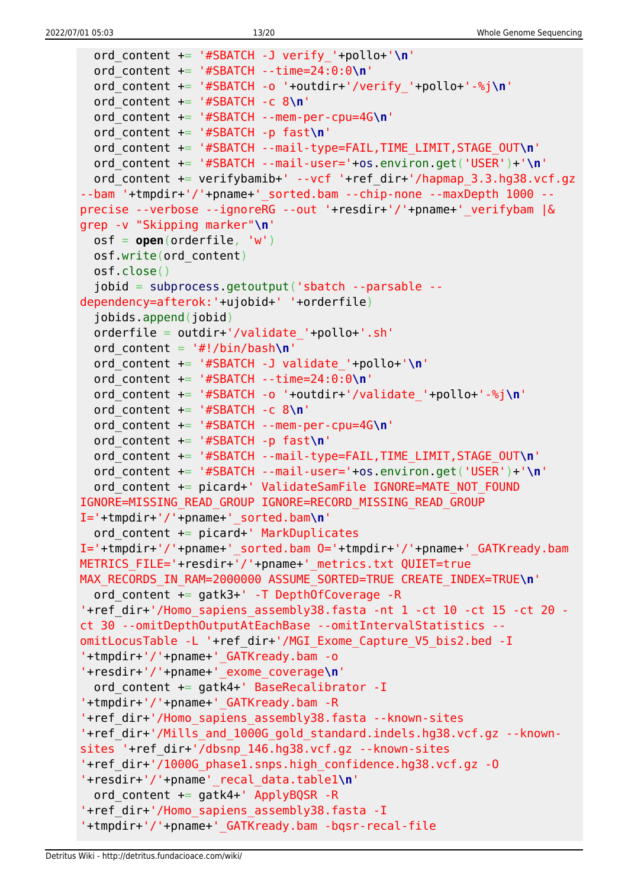```
 ord_content += '#SBATCH -J verify_'+pollo+'\n'
   ord_content += '#SBATCH --time=24:0:0\n'
   ord_content += '#SBATCH -o '+outdir+'/verify_'+pollo+'-%j\n'
   ord_content += '#SBATCH -c 8\n'
   ord_content += '#SBATCH --mem-per-cpu=4G\n'
   ord_content += '#SBATCH -p fast\n'
   ord_content += '#SBATCH --mail-type=FAIL,TIME_LIMIT,STAGE_OUT\n'
   ord_content += '#SBATCH --mail-user='+os.environ.get('USER')+'\n'
  ord content += verifybamib+' --vcf '+ref dir+'/hapmap 3.3.hg38.vcf.gz
--bam '+tmpdir+'/'+pname+' sorted.bam --chip-none --maxDepth 1000 --
precise --verbose --ignoreRG --out '+resdir+'/'+pname+'_verifybam |&
grep -v "Skipping marker"\n'
   osf = open(orderfile, 'w')
   osf.write(ord_content)
   osf.close()
   jobid = subprocess.getoutput('sbatch --parsable --
dependency=afterok:'+ujobid+' '+orderfile)
   jobids.append(jobid)
  orderfile = outdir+'/validate'+pollo+.sh'ord content = '#!/bin/bash\n' ord_content += '#SBATCH -J validate_'+pollo+'\n'
   ord_content += '#SBATCH --time=24:0:0\n'
   ord_content += '#SBATCH -o '+outdir+'/validate_'+pollo+'-%j\n'
   ord_content += '#SBATCH -c 8\n'
   ord_content += '#SBATCH --mem-per-cpu=4G\n'
   ord_content += '#SBATCH -p fast\n'
   ord_content += '#SBATCH --mail-type=FAIL,TIME_LIMIT,STAGE_OUT\n'
   ord_content += '#SBATCH --mail-user='+os.environ.get('USER')+'\n'
  ord content += picard+' ValidateSamFile IGNORE=MATE NOT FOUND
IGNORE=MISSING_READ_GROUP IGNORE=RECORD_MISSING_READ_GROUP
I='+tmpdir+'/'+pname+'_sorted.bam\n'
   ord_content += picard+' MarkDuplicates
I='+tmpdir+'/'+pname+'_sorted.bam O='+tmpdir+'/'+pname+'_GATKready.bam
METRICS FILE='+resdir+'/'+pname+' metrics.txt QUIET=true
MAX RECORDS IN RAM=2000000 ASSUME SORTED=TRUE CREATE INDEX=TRUE\n'
   ord_content += gatk3+' -T DepthOfCoverage -R
'+ref dir+'/Homo sapiens assembly38.fasta -nt 1 -ct 10 -ct 15 -ct 20 -
ct 30 --omitDepthOutputAtEachBase --omitIntervalStatistics --
omitLocusTable -L '+ref_dir+'/MGI_Exome_Capture_V5_bis2.bed -I
'+tmpdir+'/'+pname+'_GATKready.bam -o
'+resdir+'/'+pname+'_exome_coverage\n'
   ord_content += gatk4+' BaseRecalibrator -I
'+tmpdir+'/'+pname+'_GATKready.bam -R
'+ref_dir+'/Homo_sapiens_assembly38.fasta --known-sites
'+ref dir+'/Mills and 1000G gold standard.indels.hg38.vcf.gz --known-
sites '+ref_dir+'/dbsnp_146.hg38.vcf.gz --known-sites
'+ref_dir+'/1000G_phase1.snps.high_confidence.hg38.vcf.gz -O
'+resdir+'/'+pname'_recal_data.table1\n'
  ord content += gatk4+' ApplyBQSR -R
'+ref_dir+'/Homo_sapiens_assembly38.fasta -I
'+tmpdir+'/'+pname+'_GATKready.bam -bqsr-recal-file
```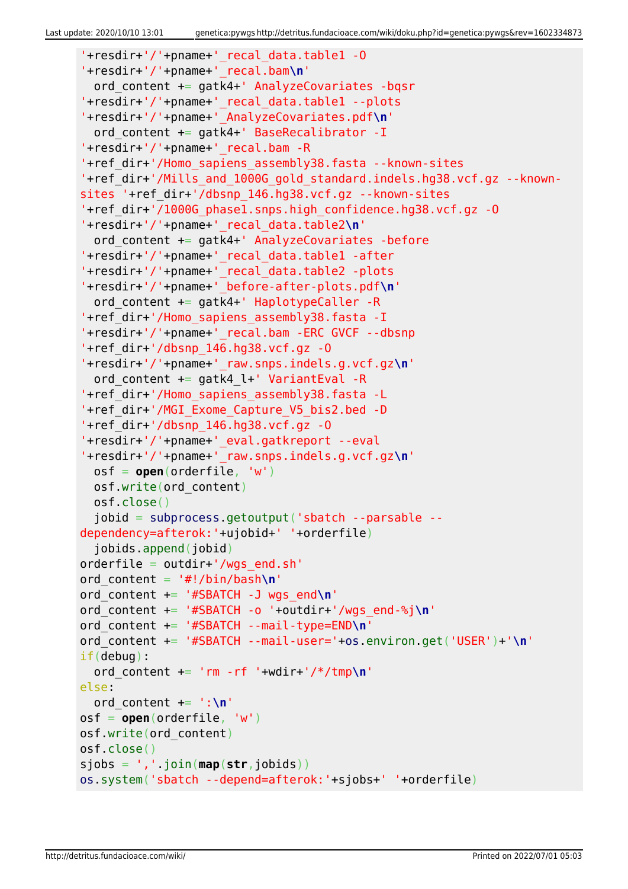```
'+resdir+'/'+pname+'_recal_data.table1 -O
'+resdir+'/'+pname+'_recal.bam\n'
   ord_content += gatk4+' AnalyzeCovariates -bqsr
'+resdir+'/'+pname+'_recal_data.table1 --plots
'+resdir+'/'+pname+'_AnalyzeCovariates.pdf\n'
  ord content += gatk4+' BaseRecalibrator -I
'+resdir+'/'+pname+'_recal.bam -R
'+ref_dir+'/Homo_sapiens_assembly38.fasta --known-sites
'+ref dir+'/Mills and 1000G gold standard.indels.hg38.vcf.gz --known-
sites '+ref_dir+'/dbsnp_146.hg38.vcf.gz --known-sites
'+ref_dir+'/1000G_phase1.snps.high_confidence.hg38.vcf.gz -O
'+resdir+'/'+pname+'_recal_data.table2\n'
   ord_content += gatk4+' AnalyzeCovariates -before
'+resdir+'/'+pname+'_recal_data.table1 -after
'+resdir+'/'+pname+'_recal_data.table2 -plots
'+resdir+'/'+pname+'_before-after-plots.pdf\n'
  ord content += gatk4+' HaplotypeCaller -R
'+ref_dir+'/Homo_sapiens_assembly38.fasta -I
'+resdir+'/'+pname+'_recal.bam -ERC GVCF --dbsnp
'+ref dir+'/dbsnp 146.hq38.vcf.gz -0'+resdir+'/'+pname+'_raw.snps.indels.g.vcf.gz\n'
   ord_content += gatk4_l+' VariantEval -R
'+ref_dir+'/Homo_sapiens_assembly38.fasta -L
'+ref_dir+'/MGI_Exome_Capture_V5_bis2.bed -D
'+ref dir+'/dbsnp 146.hq38.vcf.qz -0'+resdir+'/'+pname+'_eval.gatkreport --eval
'+resdir+'/'+pname+'_raw.snps.indels.g.vcf.gz\n'
   osf = open(orderfile, 'w')
   osf.write(ord_content)
   osf.close()
   jobid = subprocess.getoutput('sbatch --parsable --
dependency=afterok:'+ujobid+' '+orderfile)
   jobids.append(jobid)
orderfile = outdir+'/wgs_end.sh'
ord_content = '#!/bin/bash\n'
ord_content += '#SBATCH -J wgs_end\n'
ord_content += '#SBATCH -o '+outdir+'/wgs_end-%j\n'
ord_content += '#SBATCH --mail-type=END\n'
ord_content += '#SBATCH --mail-user='+os.environ.get('USER')+'\n'
if(debug):
  ord content += 'rm -rf '+wdir+'/*/tmp\n'
else:
   ord_content += ':\n'
osf = open(orderfile, 'w')
osf.write(ord_content)
osf.close()
sjobs = ','.join(map(str,jobids))
os.system('sbatch --depend=afterok:'+sjobs+' '+orderfile)
```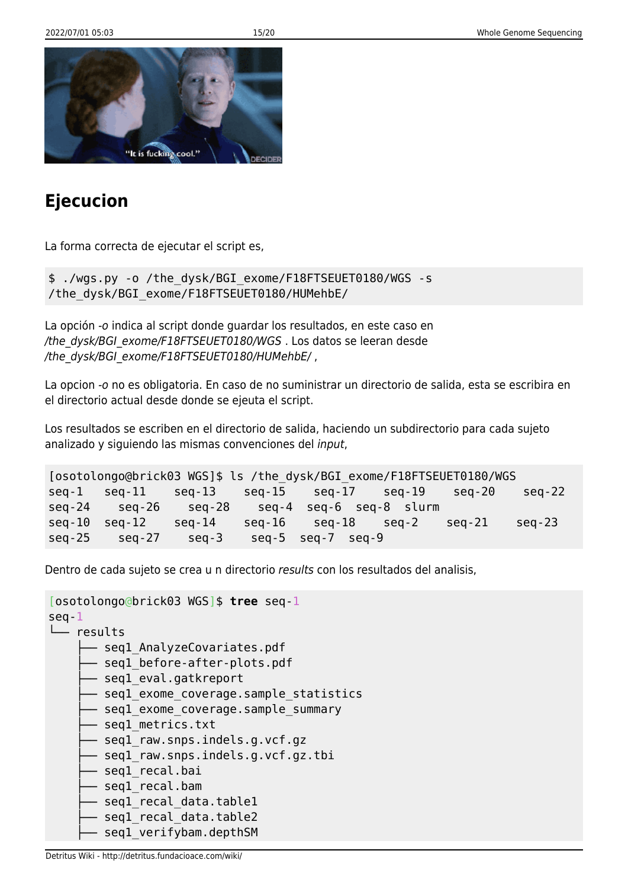

## **Ejecucion**

La forma correcta de ejecutar el script es,

\$ ./wgs.py -o /the\_dysk/BGI\_exome/F18FTSEUET0180/WGS -s /the\_dysk/BGI\_exome/F18FTSEUET0180/HUMehbE/

La opción -o indica al script donde guardar los resultados, en este caso en /the\_dysk/BGI\_exome/F18FTSEUET0180/WGS . Los datos se leeran desde /the\_dysk/BGI\_exome/F18FTSEUET0180/HUMehbE/,

La opcion -o no es obligatoria. En caso de no suministrar un directorio de salida, esta se escribira en el directorio actual desde donde se ejeuta el script.

Los resultados se escriben en el directorio de salida, haciendo un subdirectorio para cada sujeto analizado y siguiendo las mismas convenciones del input,

```
[osotolongo@brick03 WGS]$ ls /the_dysk/BGI_exome/F18FTSEUET0180/WGS
seq-1 seq-11 seq-13 seq-15 seq-17 seq-19 seq-20 seq-22
seq-24 seq-26 seq-28 seq-4 seq-6 seq-8 slurm
seq-10 seq-12 seq-14 seq-16 seq-18 seq-2 seq-21 seq-23
seq-25 seq-27 seq-3 seq-5 seq-7 seq-9
```
Dentro de cada sujeto se crea u n directorio results con los resultados del analisis,

```
[osotolongo@brick03 WGS]$ tree seq-1
seq-1
└── results
     - seql AnalyzeCovariates.pdf
      - seql before-after-plots.pdf
       - seql eval.gatkreport
      - seql exome coverage.sample statistics
      - seql exome coverage.sample summary
      - seql metrics.txt
      - seql raw.snps.indels.g.vcf.gz
       - seql raw.snps.indels.g.vcf.gz.tbi
       - seql_recal.bai
      - seql recal.bam
      - seql recal data.table1
       seq1_recal_data.table2
       seq1 verifybam.depthSM
```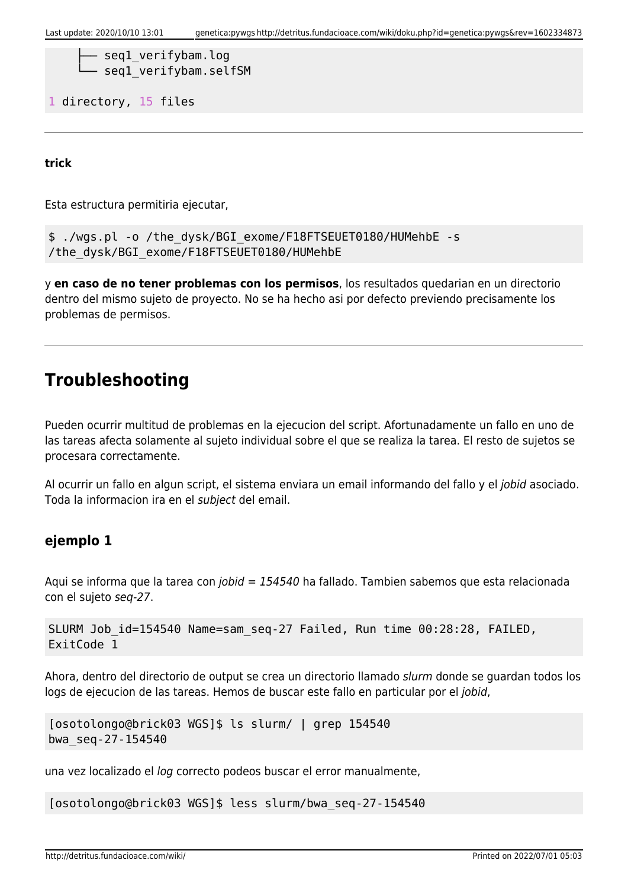```
- seql verifybam.log
seq1 verifybam.selfSM
```
1 directory, 15 files

**trick**

Esta estructura permitiria ejecutar,

```
$ ./wgs.pl -o /the_dysk/BGI_exome/F18FTSEUET0180/HUMehbE -s
/the_dysk/BGI_exome/F18FTSEUET0180/HUMehbE
```
y **en caso de no tener problemas con los permisos**, los resultados quedarian en un directorio dentro del mismo sujeto de proyecto. No se ha hecho asi por defecto previendo precisamente los problemas de permisos.

### **Troubleshooting**

Pueden ocurrir multitud de problemas en la ejecucion del script. Afortunadamente un fallo en uno de las tareas afecta solamente al sujeto individual sobre el que se realiza la tarea. El resto de sujetos se procesara correctamente.

Al ocurrir un fallo en algun script, el sistema enviara un email informando del fallo y el jobid asociado. Toda la informacion ira en el subject del email.

### **ejemplo 1**

Aqui se informa que la tarea con jobid = 154540 ha fallado. Tambien sabemos que esta relacionada con el sujeto seq-27.

```
SLURM Job_id=154540 Name=sam_seq-27 Failed, Run time 00:28:28, FAILED,
ExitCode 1
```
Ahora, dentro del directorio de output se crea un directorio llamado slurm donde se guardan todos los logs de ejecucion de las tareas. Hemos de buscar este fallo en particular por el jobid,

```
[osotolongo@brick03 WGS]$ ls slurm/ | grep 154540
bwa_seq-27-154540
```
una vez localizado el log correcto podeos buscar el error manualmente,

[osotolongo@brick03 WGS]\$ less slurm/bwa\_seq-27-154540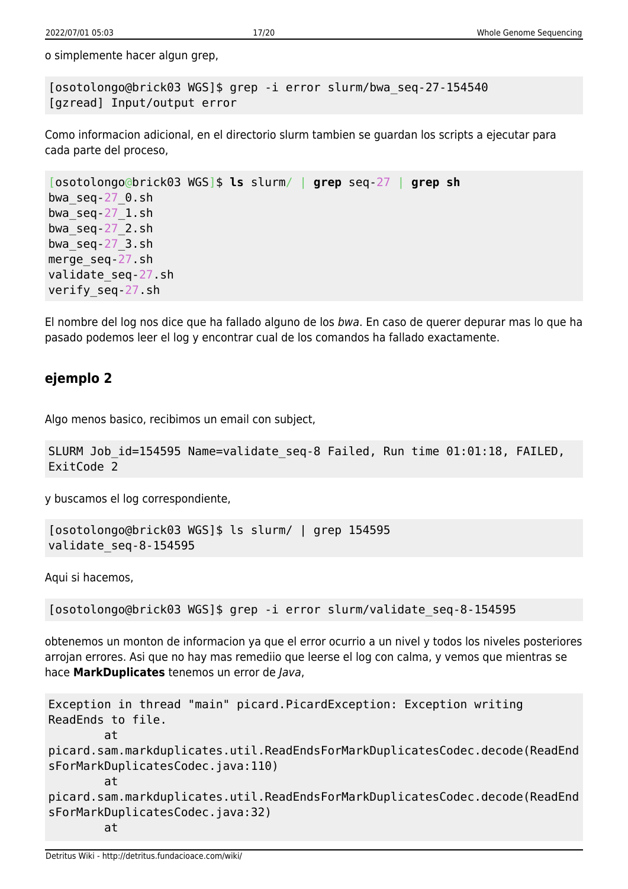o simplemente hacer algun grep,

[osotolongo@brick03 WGS]\$ grep -i error slurm/bwa\_seq-27-154540 [gzread] Input/output error

Como informacion adicional, en el directorio slurm tambien se guardan los scripts a ejecutar para cada parte del proceso,

```
[osotolongo@brick03 WGS]$ ls slurm/ | grep seq-27 | grep sh
bwa_seq-27_0.sh
bwa_seq-27_1.sh
bwa_seq-27_2.sh
bwaseq-27 3.sh
merge_seq-27.sh
validate_seq-27.sh
verify_seq-27.sh
```
El nombre del log nos dice que ha fallado alguno de los bwa. En caso de querer depurar mas lo que ha pasado podemos leer el log y encontrar cual de los comandos ha fallado exactamente.

### **ejemplo 2**

Algo menos basico, recibimos un email con subject,

```
SLURM Job id=154595 Name=validate seq-8 Failed, Run time 01:01:18, FAILED,
ExitCode 2
```
y buscamos el log correspondiente,

```
[osotolongo@brick03 WGS]$ ls slurm/ | grep 154595
validate_seq-8-154595
```
Aqui si hacemos,

[osotolongo@brick03 WGS]\$ grep -i error slurm/validate\_seq-8-154595

obtenemos un monton de informacion ya que el error ocurrio a un nivel y todos los niveles posteriores arrojan errores. Asi que no hay mas remediio que leerse el log con calma, y vemos que mientras se hace **MarkDuplicates** tenemos un error de Java,

```
Exception in thread "main" picard.PicardException: Exception writing
ReadEnds to file.
         at
picard.sam.markduplicates.util.ReadEndsForMarkDuplicatesCodec.decode(ReadEnd
sForMarkDuplicatesCodec.java:110)
         at
picard.sam.markduplicates.util.ReadEndsForMarkDuplicatesCodec.decode(ReadEnd
sForMarkDuplicatesCodec.java:32)
         at
```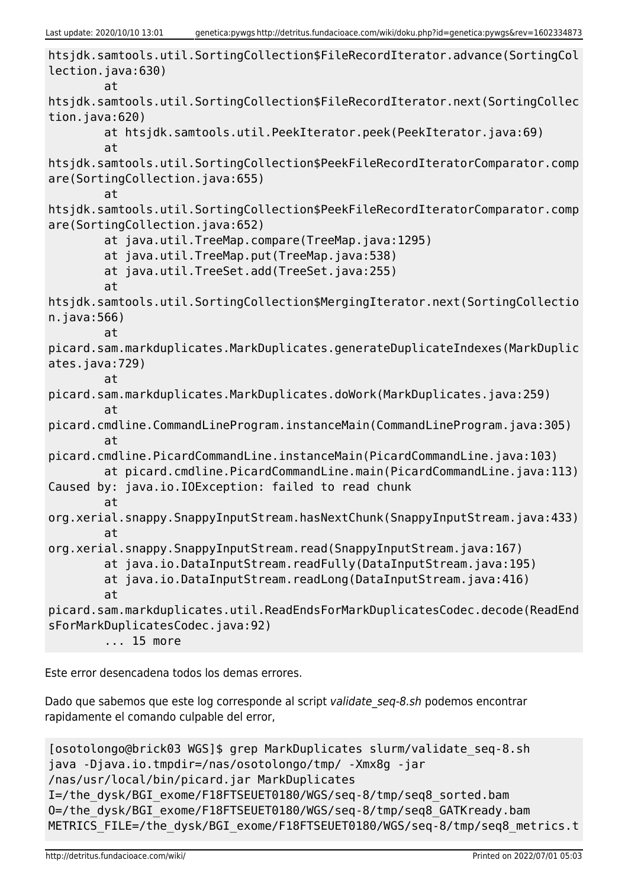```
htsjdk.samtools.util.SortingCollection$FileRecordIterator.advance(SortingCol
lection.java:630)
         at
htsjdk.samtools.util.SortingCollection$FileRecordIterator.next(SortingCollec
tion.java:620)
         at htsjdk.samtools.util.PeekIterator.peek(PeekIterator.java:69)
         at
htsjdk.samtools.util.SortingCollection$PeekFileRecordIteratorComparator.comp
are(SortingCollection.java:655)
         at
htsjdk.samtools.util.SortingCollection$PeekFileRecordIteratorComparator.comp
are(SortingCollection.java:652)
         at java.util.TreeMap.compare(TreeMap.java:1295)
         at java.util.TreeMap.put(TreeMap.java:538)
         at java.util.TreeSet.add(TreeSet.java:255)
         at
htsjdk.samtools.util.SortingCollection$MergingIterator.next(SortingCollectio
n.java:566)
         at
picard.sam.markduplicates.MarkDuplicates.generateDuplicateIndexes(MarkDuplic
ates.java:729)
         at
picard.sam.markduplicates.MarkDuplicates.doWork(MarkDuplicates.java:259)
         at
picard.cmdline.CommandLineProgram.instanceMain(CommandLineProgram.java:305)
         at
picard.cmdline.PicardCommandLine.instanceMain(PicardCommandLine.java:103)
         at picard.cmdline.PicardCommandLine.main(PicardCommandLine.java:113)
Caused by: java.io.IOException: failed to read chunk
         at
org.xerial.snappy.SnappyInputStream.hasNextChunk(SnappyInputStream.java:433)
         at
org.xerial.snappy.SnappyInputStream.read(SnappyInputStream.java:167)
         at java.io.DataInputStream.readFully(DataInputStream.java:195)
         at java.io.DataInputStream.readLong(DataInputStream.java:416)
         at
picard.sam.markduplicates.util.ReadEndsForMarkDuplicatesCodec.decode(ReadEnd
sForMarkDuplicatesCodec.java:92)
         ... 15 more
```
Este error desencadena todos los demas errores.

Dado que sabemos que este log corresponde al script validate seq-8.sh podemos encontrar rapidamente el comando culpable del error,

```
[osotolongo@brick03 WGS]$ grep MarkDuplicates slurm/validate_seq-8.sh
java -Djava.io.tmpdir=/nas/osotolongo/tmp/ -Xmx8g -jar
/nas/usr/local/bin/picard.jar MarkDuplicates
I=/the_dysk/BGI_exome/F18FTSEUET0180/WGS/seq-8/tmp/seq8_sorted.bam
O=/the_dysk/BGI_exome/F18FTSEUET0180/WGS/seq-8/tmp/seq8_GATKready.bam
METRICS_FILE=/the_dysk/BGI_exome/F18FTSEUET0180/WGS/seq-8/tmp/seq8_metrics.t
```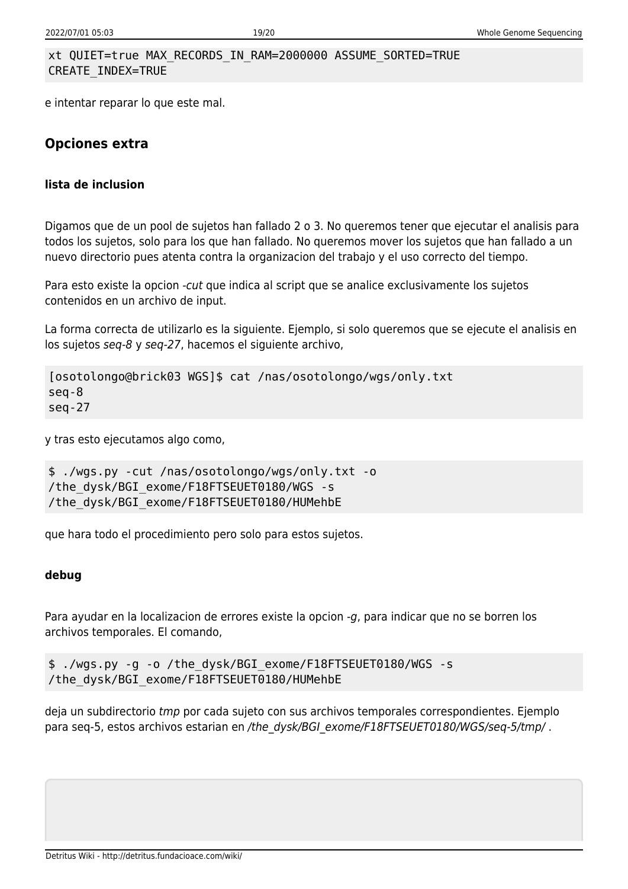#### xt QUIET=true MAX\_RECORDS\_IN\_RAM=2000000 ASSUME\_SORTED=TRUE CREATE\_INDEX=TRUE

e intentar reparar lo que este mal.

### **Opciones extra**

#### **lista de inclusion**

Digamos que de un pool de sujetos han fallado 2 o 3. No queremos tener que ejecutar el analisis para todos los sujetos, solo para los que han fallado. No queremos mover los sujetos que han fallado a un nuevo directorio pues atenta contra la organizacion del trabajo y el uso correcto del tiempo.

Para esto existe la opcion -cut que indica al script que se analice exclusivamente los sujetos contenidos en un archivo de input.

La forma correcta de utilizarlo es la siguiente. Ejemplo, si solo queremos que se ejecute el analisis en los sujetos seq-8 y seq-27, hacemos el siguiente archivo,

```
[osotolongo@brick03 WGS]$ cat /nas/osotolongo/wgs/only.txt
seq-8
seq-27
```
y tras esto ejecutamos algo como,

```
$ ./wgs.py -cut /nas/osotolongo/wgs/only.txt -o
/the_dysk/BGI_exome/F18FTSEUET0180/WGS -s
/the_dysk/BGI_exome/F18FTSEUET0180/HUMehbE
```
que hara todo el procedimiento pero solo para estos sujetos.

#### **debug**

Para ayudar en la localizacion de errores existe la opcion -g, para indicar que no se borren los archivos temporales. El comando,

```
$ ./wgs.py -g -o /the_dysk/BGI_exome/F18FTSEUET0180/WGS -s
/the_dysk/BGI_exome/F18FTSEUET0180/HUMehbE
```
deja un subdirectorio tmp por cada sujeto con sus archivos temporales correspondientes. Ejemplo para seq-5, estos archivos estarian en /the\_dysk/BGI\_exome/F18FTSEUET0180/WGS/seq-5/tmp/.